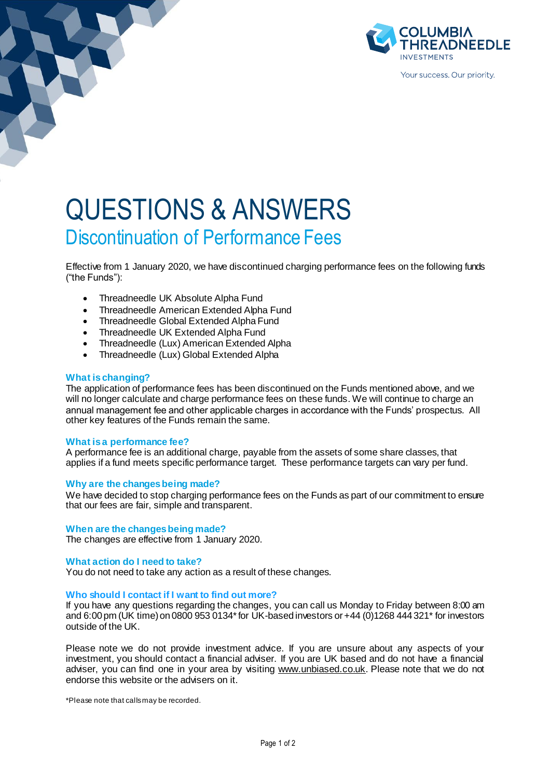

# QUESTIONS & ANSWERS Discontinuation of Performance Fees

Effective from 1 January 2020, we have discontinued charging performance fees on the following funds ("the Funds"):

- Threadneedle UK Absolute Alpha Fund
- Threadneedle American Extended Alpha Fund
- Threadneedle Global Extended Alpha Fund
- Threadneedle UK Extended Alpha Fund
- Threadneedle (Lux) American Extended Alpha
- Threadneedle (Lux) Global Extended Alpha

## **What is changing?**

The application of performance fees has been discontinued on the Funds mentioned above, and we will no longer calculate and charge performance fees on these funds. We will continue to charge an annual management fee and other applicable charges in accordance with the Funds' prospectus. All other key features of the Funds remain the same.

## **What is a performance fee?**

A performance fee is an additional charge, payable from the assets of some share classes, that applies if a fund meets specific performance target. These performance targets can vary per fund.

## **Why are the changes being made?**

We have decided to stop charging performance fees on the Funds as part of our commitment to ensure that our fees are fair, simple and transparent.

### **When are the changes being made?**

The changes are effective from 1 January 2020.

### **What action do I need to take?**

You do not need to take any action as a result of these changes.

### **Who should I contact if I want to find out more?**

If you have any questions regarding the changes, you can call us Monday to Friday between 8:00 am and 6:00pm (UK time) on 0800 953 0134\* for UK-based investors or +44 (0)1268 444 321\* for investors outside of the UK.

Please note we do not provide investment advice. If you are unsure about any aspects of your investment, you should contact a financial adviser. If you are UK based and do not have a financial adviser, you can find one in your area by visiting [www.unbiased.co.uk](http://www.unbiased.co.uk/). Please note that we do not endorse this website or the advisers on it.

\*Please note that calls may be recorded.